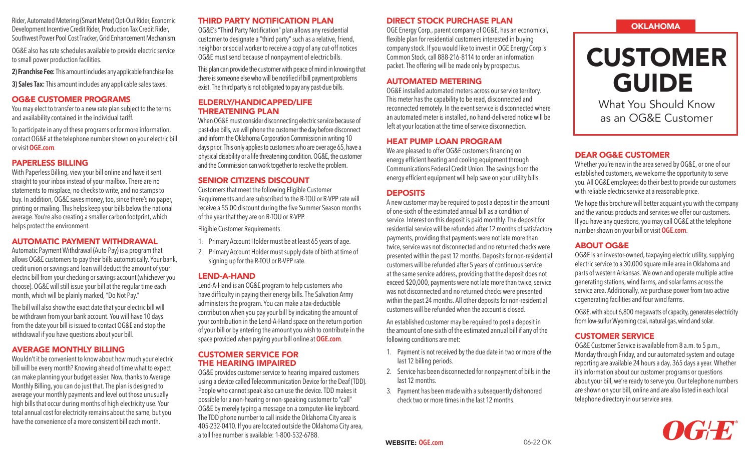Rider, Automated Metering (Smart Meter) Opt-Out Rider, Economic Development Incentive Credit Rider, Production Tax Credit Rider, Southwest Power Pool Cost Tracker, Grid Enhancement Mechanism.

OG&E also has rate schedules available to provide electric service to small power production facilities.

**2) Franchise Fee:** This amount includes any applicable franchise fee.

**3) Sales Tax:** This amount includes any applicable sales taxes.

#### OG&E CUSTOMER PROGRAMS

You may elect to transfer to a new rate plan subject to the terms and availability contained in the individual tariff.

To participate in any of these programs or for more information, contact OG&E at the telephone number shown on your electric bill or visit **OGE.com**.

#### PAPERLESS BILLING

With Paperless Billing, view your bill online and have it sent straight to your inbox instead of your mailbox. There are no statements to misplace, no checks to write, and no stamps to buy. In addition, OG&E saves money, too, since there's no paper, printing or mailing. This helps keep your bills below the national average. You're also creating a smaller carbon footprint, which helps protect the environment.

#### AUTOMATIC PAYMENT WITHDRAWAL

Automatic Payment Withdrawal (Auto Pay) is a program that allows OG&E customers to pay their bills automatically. Your bank, credit union or savings and loan will deduct the amount of your electric bill from your checking or savings account (whichever you choose). OG&E will still issue your bill at the regular time each month, which will be plainly marked, "Do Not Pay."

The bill will also show the exact date that your electric bill will be withdrawn from your bank account. You will have 10 days from the date your bill is issued to contact OG&E and stop the withdrawal if you have questions about your bill.

#### AVERAGE MONTHLY BILLING

Wouldn't it be convenient to know about how much your electric bill will be every month? Knowing ahead of time what to expect can make planning your budget easier. Now, thanks to Average Monthly Billing, you can do just that. The plan is designed to average your monthly payments and level out those unusually high bills that occur during months of high electricity use. Your total annual cost for electricity remains about the same, but you have the convenience of a more consistent bill each month.

#### THIRD PARTY NOTIFICATION PLAN

OG&E's "Third Party Notification" plan allows any residential customer to designate a "third party" such as a relative, friend, neighbor or social worker to receive a copy of any cut-off notices OG&E must send because of nonpayment of electric bills.

This plan can provide the customer with peace of mind in knowing that there is someone else who will be notified if bill payment problems exist. The third party is not obligated to pay any past-due bills.

# ELDERLY/HANDICAPPED/LIFE THREATENING PLAN

When OG&E must consider disconnecting electric service because of past-due bills, we will phone the customer the day before disconnect and inform the Oklahoma Corporation Commission in writing 10 days prior. This only applies to customers who are over age 65, have a physical disability or a life threatening condition. OG&E, the customer and the Commission can work together to resolve the problem.

# SENIOR CITIZENS DISCOUNT

Customers that meet the following Eligible Customer Requirements and are subscribed to the R-TOU or R-VPP rate will receive a \$5.00 discount during the five Summer Season months of the year that they are on R-TOU or R-VPP.

Eligible Customer Requirements:

- 1. Primary Account Holder must be at least 65 years of age.
- 2. Primary Account Holder must supply date of birth at time of signing up for the R-TOU or R-VPP rate.

#### LEND-A-HAND

Lend-A-Hand is an OG&E program to help customers who have difficulty in paying their energy bills. The Salvation Army administers the program. You can make a tax-deductible contribution when you pay your bill by indicating the amount of your contribution in the Lend-A-Hand space on the return portion of your bill or by entering the amount you wish to contribute in the space provided when paying your bill online at **OGE.com**.

#### CUSTOMER SERVICE FOR THE HEARING IMPAIRED

OG&E provides customer service to hearing impaired customers using a device called Telecommunication Device for the Deaf (TDD). People who cannot speak also can use the device. TDD makes it possible for a non-hearing or non-speaking customer to "call" OG&E by merely typing a message on a computer-like keyboard. The TDD phone number to call inside the Oklahoma City area is 405-232-0410. If you are located outside the Oklahoma City area, a toll free number is available: 1-800-532-6788.

# DIRECT STOCK PURCHASE PLAN

OGE Energy Corp., parent company of OG&E, has an economical, flexible plan for residential customers interested in buying company stock. If you would like to invest in OGE Energy Corp.'s Common Stock, call 888-216-8114 to order an information packet. The offering will be made only by prospectus.

#### AUTOMATED METERING

OG&E installed automated meters across our service territory. This meter has the capability to be read, disconnected and reconnected remotely. In the event service is disconnected where an automated meter is installed, no hand-delivered notice will be left at your location at the time of service disconnection.

# HEAT PUMP LOAN PROGRAM

We are pleased to offer OG&E customers financing on energy efficient heating and cooling equipment through Communications Federal Credit Union. The savings from the energy efficient equipment will help save on your utility bills.

#### **DEPOSITS**

A new customer may be required to post a deposit in the amount of one-sixth of the estimated annual bill as a condition of service. Interest on this deposit is paid monthly. The deposit for residential service will be refunded after 12 months of satisfactory payments, providing that payments were not late more than twice, service was not disconnected and no returned checks were presented within the past 12 months. Deposits for non-residential customers will be refunded after 5 years of continuous service at the same service address, providing that the deposit does not exceed \$20,000, payments were not late more than twice, service was not disconnected and no returned checks were presented within the past 24 months. All other deposits for non-residential customers will be refunded when the account is closed.

An established customer may be required to post a deposit in the amount of one-sixth of the estimated annual bill if any of the following conditions are met:

- 1. Payment is not received by the due date in two or more of the last 12 billing periods.
- 2. Service has been disconnected for nonpayment of bills in the last 12 months.
- 3. Payment has been made with a subsequently dishonored check two or more times in the last 12 months.

# **OKLAHOMA**

# CUSTOMER GUIDE

What You Should Know as an OG&E Customer

# DEAR OG&E CUSTOMER

Whether you're new in the area served by OG&E, or one of our established customers, we welcome the opportunity to serve you. All OG&E employees do their best to provide our customers with reliable electric service at a reasonable price.

We hope this brochure will better acquaint you with the company and the various products and services we offer our customers. If you have any questions, you may call OG&E at the telephone number shown on your bill or visit **OGE.com**.

#### ABOUT OG&E

OG&E is an investor-owned, taxpaying electric utility, supplying electric service to a 30,000 square mile area in Oklahoma and parts of western Arkansas. We own and operate multiple active generating stations, wind farms, and solar farms across the service area. Additionally, we purchase power from two active cogenerating facilities and four wind farms.

OG&E, with about 6,800 megawatts of capacity, generates electricity from low-sulfur Wyoming coal, natural gas, wind and solar.

# CUSTOMER SERVICE

OG&E Customer Service is available from 8 a.m. to 5 p.m., Monday through Friday, and our automated system and outage reporting are available 24 hours a day, 365 days a year. Whether it's information about our customer programs or questions about your bill, we're ready to serve you. Our telephone numbers are shown on your bill, online and are also listed in each local telephone directory in our service area.